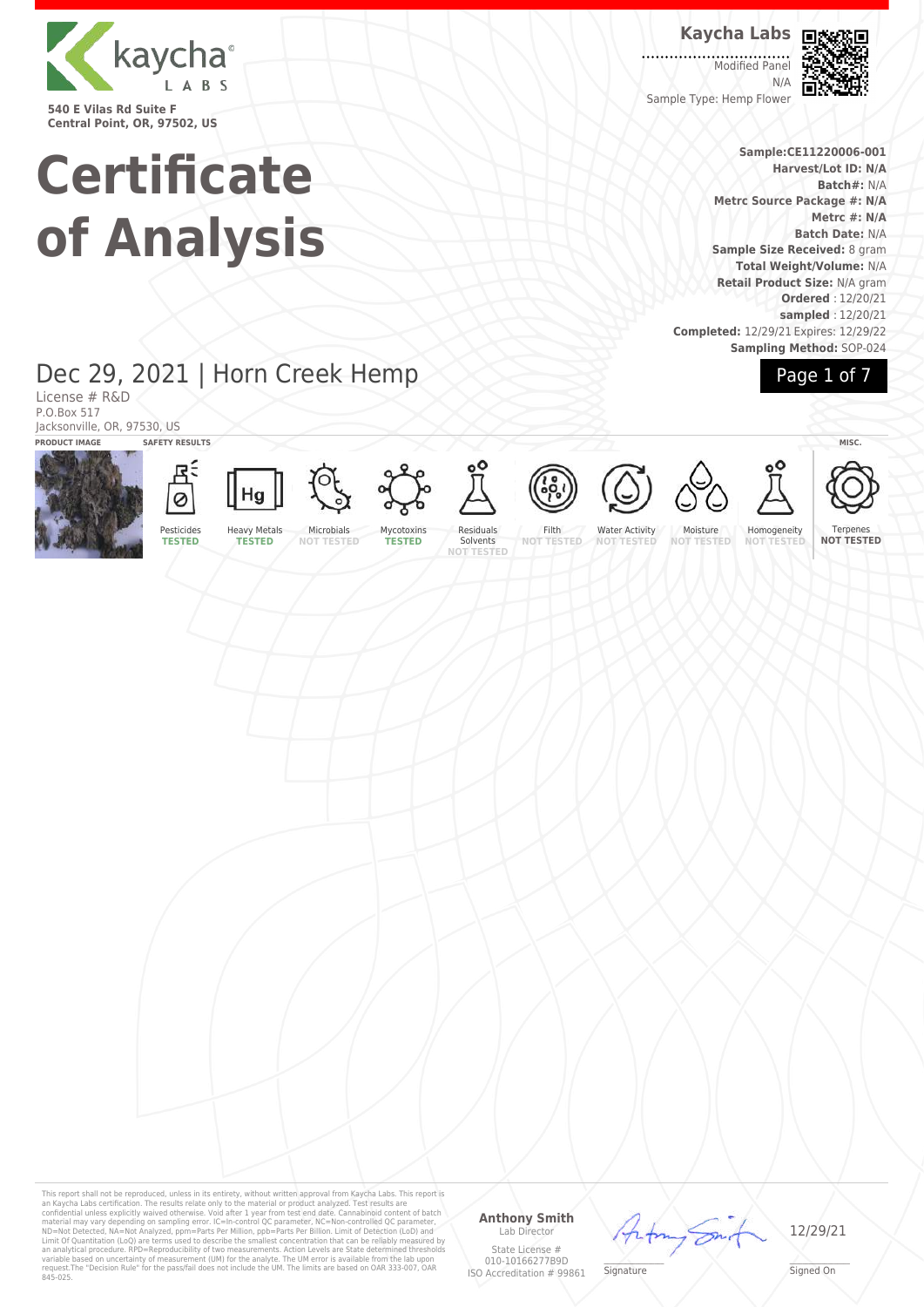

**Central Point, OR, 97502, US**

# **Certificate of Analysis**

### **Kaycha Labs**

Modified Panel N/A Sample Type: Hemp Flower



**Sample:CE11220006-001 Harvest/Lot ID: N/A Batch#:** N/A **Metrc Source Package #: N/A Metrc #: N/A Batch Date:** N/A **Sample Size Received:** 8 gram **Total Weight/Volume:** N/A **Retail Product Size:** N/A gram **Ordered** : 12/20/21 **sampled** : 12/20/21 **Completed:** 12/29/21 Expires: 12/29/22 **Sampling Method:** SOP-024

Page 1 of 7

## Dec 29, 2021 | Horn Creek Hemp

License # R&D P.O.Box 517 Jacksonville, OR, 97530, US **PRODUCT IMAGE SAFETY RESULTS MISC.**





Microbials **NOT TESTED**

Mycotoxins **TESTED**

Residuals Solvents **NOT TESTED** Filth **NOT TESTED**

Water Activity **NOT TESTED**

Moisture<br>NOT TEST **NOT TESTED** Homogeneity **NOT** 

Ternenes **NOT TESTED**

This report shall not be reproduced, unless in its entirety, without written approval from Kaycha Labs. This report is<br>an Kaycha Labs certification. The results relate only to the material or product analyzed. Test result

#### **Anthony Smith** Lab Director

State License # 010-10166277B9D ISO Accreditation # 99861

\_\_\_\_\_\_\_\_\_\_\_\_\_\_\_\_\_\_\_ Signed On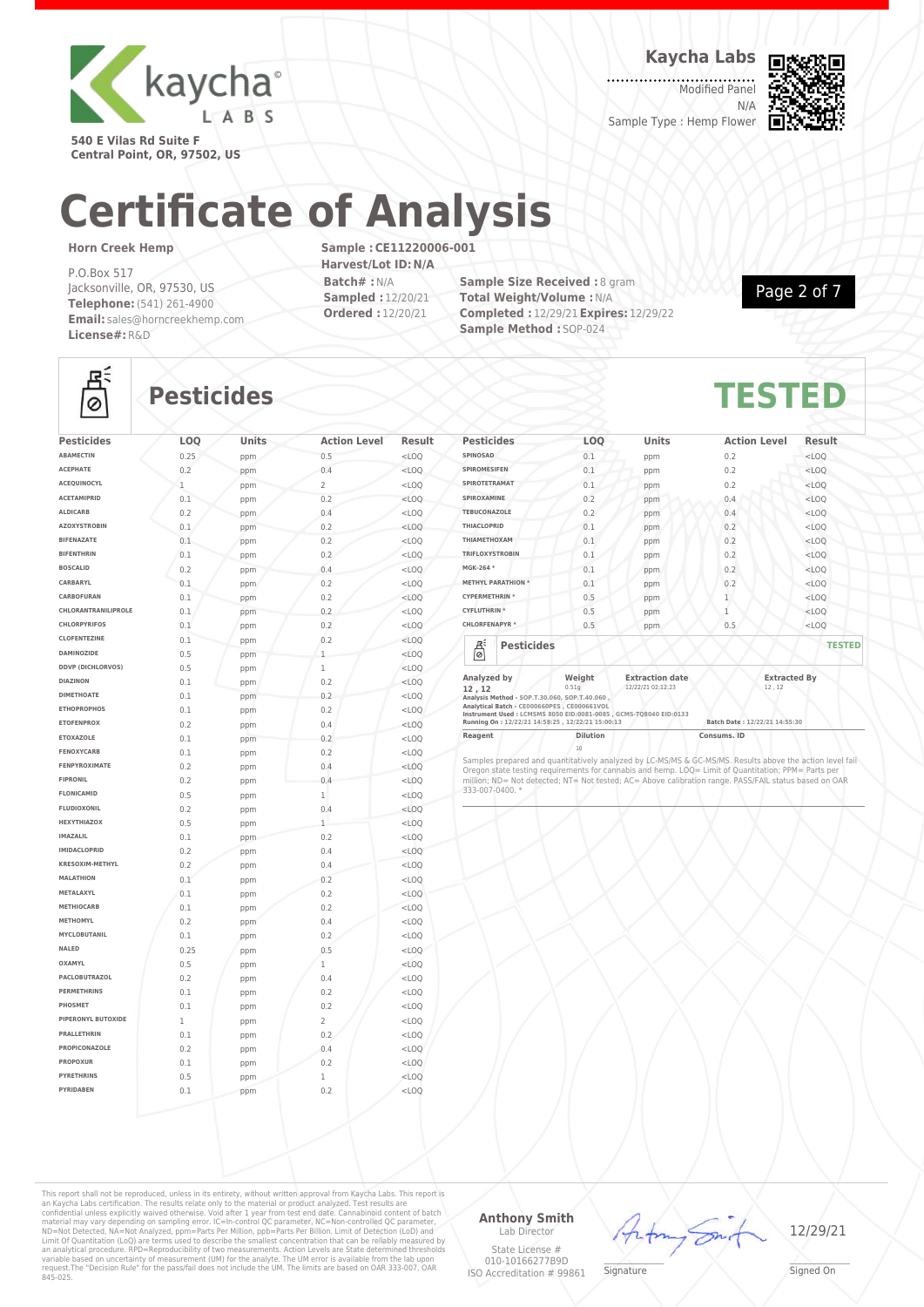

**Kaycha Labs**

Modified Panel N/A Sample Type : Hemp Flower



**540 E Vilas Rd Suite F Central Point, OR, 97502, US**

# **Certificate of Analysis**

#### **Horn Creek Hemp**

P.O.Box 517 Jacksonville, OR, 97530, US **Telephone:**(541) 261-4900 **Email:** sales@horncreekhemp.com **License#:**R&D

**Sample :CE11220006-001 Harvest/Lot ID:N/A Batch# :**N/A **Sampled :** 12/20/21 **Ordered :** 12/20/21

**Sample Size Received : 8 gram Total Weight/Volume :**N/A **Completed :** 12/29/21**Expires:** 12/29/22 **Sample Method :** SOP-024

Page 2 of 7



## **Pesticides TESTED**

| <b>Pesticides</b><br><b>ABAMECTIN</b>    | LOQ  | Units | <b>Action Level</b> | Result  |
|------------------------------------------|------|-------|---------------------|---------|
| <b>ACEPHATE</b>                          | 0.25 | ppm   | 0.5                 | $<$ LOO |
| <b>ACEOUINOCYL</b>                       | 0.2  | ppm   | 0.4                 | $<$ LOQ |
|                                          | 1    | ppm   | $\overline{a}$      | $<$ LOO |
| <b>ACETAMIPRID</b>                       | 0.1  | ppm   | 0.2                 | $<$ LOQ |
| <b>ALDICARB</b>                          | 0.2  | ppm   | 0.4                 | $<$ LOQ |
| <b>AZOXYSTROBIN</b><br><b>BIFENAZATE</b> | 0.1  | ppm   | 0.2                 | $<$ LOQ |
| <b>BIFENTHRIN</b>                        | 0.1  | ppm   | 0.2                 | $<$ LOO |
| <b>BOSCALID</b>                          | 0.1  | ppm   | 0.2                 | $<$ LOQ |
| CARBARYL                                 | 0.2  | ppm   | 0.4                 | $<$ LOQ |
| CARBOFURAN                               | 0.1  | ppm   | 0.2                 | $<$ LOQ |
| CHLORANTRANILIPROLE                      | 0.1  | ppm   | 0.2                 | $<$ LOQ |
|                                          | 0.1  | ppm   | 0.2                 | $<$ LOO |
| <b>CHLORPYRIFOS</b>                      | 0.1  | ppm   | 0.2                 | $<$ LOQ |
| <b>CLOFENTEZINE</b>                      | 0.1  | ppm   | 0.2                 | $<$ LOQ |
| <b>DAMINOZIDE</b>                        | 0.5  | ppm   | 1                   | $<$ LOQ |
| <b>DDVP (DICHLORVOS)</b>                 | 0.5  | ppm   | 1                   | $<$ LOO |
| <b>DIAZINON</b>                          | 0.1  | ppm   | 0.2                 | $<$ LOQ |
| <b>DIMETHOATE</b>                        | 0.1  | ppm   | 0.2                 | $<$ LOQ |
| <b>ETHOPROPHOS</b>                       | 0.1  | ppm   | 0.2                 | $<$ LOQ |
| <b>ETOFENPROX</b>                        | 0.2  | ppm   | 0.4                 | $<$ LOO |
| <b>ETOXAZOLE</b>                         | 0.1  | ppm   | 0.2                 | $<$ LOO |
| <b>FENOXYCARB</b>                        | 0.1  | ppm   | 0.2                 | $<$ LOQ |
| <b>FENPYROXIMATE</b>                     | 0.2  | ppm   | 0.4                 | $<$ LOQ |
| <b>FIPRONIL</b>                          | 0.2  | ppm   | 0.4                 | $<$ LOQ |
| <b>FLONICAMID</b>                        | 0.5  | ppm   | $\mathbf{1}$        | $<$ LOO |
| <b>FLUDIOXONIL</b>                       | 0.2  | ppm   | 0.4                 | $<$ LOQ |
| HEXYTHIAZOX                              | 0.5  | ppm   | 1                   | $<$ LOQ |
| <b>IMAZALIL</b>                          | 0.1  | ppm   | 0.2                 | $<$ LOQ |
| <b>IMIDACLOPRID</b>                      | 0.2  | ppm   | 0.4                 | $<$ LOO |
| <b>KRESOXIM-METHYL</b>                   | 0.2  | ppm   | 0.4                 | $<$ LOO |
| <b>MALATHION</b>                         | 0.1  | ppm   | 0.2                 | $<$ LOQ |
| METALAXYL                                | 0.1  | ppm   | 0.2                 | $<$ LOQ |
| <b>METHIOCARB</b><br><b>METHOMYL</b>     | 0.1  | ppm   | 0.2                 | $<$ LOO |
|                                          | 0.2  | ppm   | 0.4                 | $<$ LOO |
| <b>MYCLOBUTANIL</b>                      | 0.1  | ppm   | 0.2                 | $<$ LOQ |
| NALED<br><b>OXAMYL</b>                   | 0.25 | ppm   | 0.5                 | $<$ LOQ |
| <b>PACLOBUTRAZOL</b>                     | 0.5  | ppm   | 1                   | $<$ LOQ |
| <b>PERMETHRINS</b>                       | 0.2  | ppm   | 0.4                 | $<$ LOQ |
| PHOSMET                                  | 0.1  | ppm   | 0.2                 | $<$ LOO |
|                                          | 0.1  | ppm   | 0.2                 | $<$ LOQ |
| PIPERONYL BUTOXIDE                       | 1    | ppm   | $\overline{2}$      | $<$ LOQ |
| <b>PRALLETHRIN</b>                       | 0.1  | ppm   | 0.2                 | $<$ LOQ |
| PROPICONAZOLE                            | 0.2  | ppm   | 0.4                 | $<$ LOO |
| <b>PROPOXUR</b>                          | 0.1  | ppm   | 0.2                 | $<$ LOQ |
| <b>PYRETHRINS</b>                        | 0.5  | ppm   | 1                   | $<$ LOQ |
| PYRIDABEN                                | 0.1  | ppm   | 0.2                 | $<$ LOQ |
|                                          |      |       |                     |         |
|                                          |      |       |                     |         |

| <b>Pesticides</b>         |                                                                                                                                                  | LOQ             | <b>Units</b>                                                      | <b>Action Level</b>           | Result        |
|---------------------------|--------------------------------------------------------------------------------------------------------------------------------------------------|-----------------|-------------------------------------------------------------------|-------------------------------|---------------|
| SPINOSAD                  |                                                                                                                                                  | 0.1             | ppm                                                               | 0.2                           | $<$ LOQ       |
| <b>SPIROMESIFEN</b>       |                                                                                                                                                  | 0.1             | ppm                                                               | 0.2                           | $<$ LOO       |
| SPIROTETRAMAT             |                                                                                                                                                  | 0.1             | ppm                                                               | 0.2                           | $<$ LOQ       |
| SPIROXAMINE               |                                                                                                                                                  | 0.2             | ppm                                                               | 0.4                           | $<$ LOQ       |
| <b>TEBUCONAZOLE</b>       |                                                                                                                                                  | 0.2             | ppm                                                               | 0.4                           | $<$ LOQ       |
| <b>THIACLOPRID</b>        |                                                                                                                                                  | 0.1             | ppm                                                               | 0.2                           | $<$ LOQ       |
| THIAMETHOXAM              |                                                                                                                                                  | 0.1             | ppm                                                               | 0.2                           | $<$ LOO       |
| <b>TRIFLOXYSTROBIN</b>    |                                                                                                                                                  | 0.1             | ppm                                                               | 0.2                           | $<$ LOO       |
| MGK-264 *                 |                                                                                                                                                  | 0.1             | ppm                                                               | 0.2                           | $<$ LOQ       |
| <b>METHYL PARATHION *</b> |                                                                                                                                                  | 0.1             | ppm                                                               | 0.2                           | $<$ LOO       |
| <b>CYPERMETHRIN*</b>      |                                                                                                                                                  | 0.5             | ppm                                                               | 1                             | $<$ LOO       |
| <b>CYFLUTHRIN *</b>       |                                                                                                                                                  | 0.5             | ppm                                                               | $\overline{1}$                | $<$ LOO       |
| <b>CHLORFENAPYR *</b>     |                                                                                                                                                  | 0.5             | ppm                                                               | 0.5                           | $<$ LOQ       |
| 븮                         | <b>Pesticides</b>                                                                                                                                |                 |                                                                   |                               | <b>TESTED</b> |
| Analyzed by<br>12.12      |                                                                                                                                                  | Weight<br>0.51q | <b>Extraction date</b><br>12/22/21 02:12:23                       | <b>Extracted By</b><br>12, 12 |               |
|                           | Analysis Method - SOP.T.30.060, SOP.T.40.060,<br>Analytical Batch - CE000660PES, CE000661VOL<br>Running On: 12/22/21 14:58:25, 12/22/21 15:00:13 |                 | Instrument Used: LCMSMS 8050 EID:0081-0085 . GCMS-T08040 EID:0133 | Batch Date: 12/22/21 14:55:30 |               |

**Reagent Dilution Dilution Consums. ID** 10

Samples prepared and quantitatively analyzed by LC-MS/MS & GC-MS/MS. Results above the action level fail and a<br>Oregon state testing requirements for cannabis and hemp. LOQ= Limit of Quantitation; PPM= Parts per<br>million; ND

This report shall not be reproduced, unless in its entirety, without written approval from Kaycha Labs. This report is<br>an Kaycha Labs certification. The results relate only to the material or product analyzed. Test result

#### **Anthony Smith** Lab Director

State License # 010-10166277B9D ISO Accreditation # 99861



 $\mathscr{L}\setminus\mathscr{L}$ **Signature**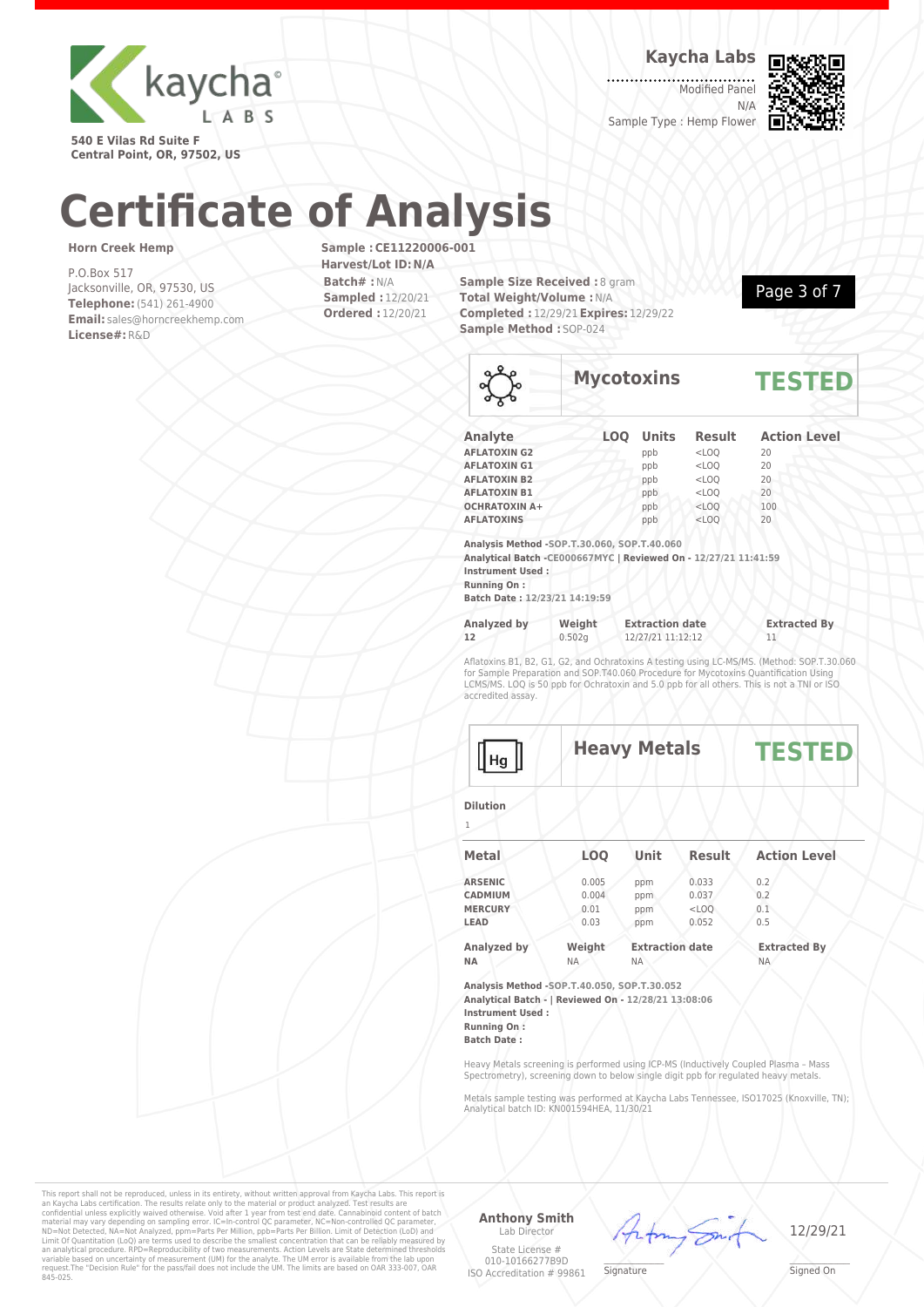

**Kaycha Labs**

Modified Panel N/A Sample Type : Hemp Flower



**540 E Vilas Rd Suite F Central Point, OR, 97502, US**

# **Certificate of Analysis**

#### **Horn Creek Hemp**

P.O.Box 517 Jacksonville, OR, 97530, US **Telephone:**(541) 261-4900 **Email:** sales@horncreekhemp.com **License#:**R&D

**Sample :CE11220006-001 Harvest/Lot ID:N/A Batch# :**N/A **Sampled :** 12/20/21 **Ordered :** 12/20/21

**Sample Size Received : 8 gram Total Weight/Volume :**N/A **Completed :** 12/29/21**Expires:** 12/29/22 **Sample Method :** SOP-024



|                     | <b>Mycotoxins</b> |           |               | <b>TESTED</b>       |  |
|---------------------|-------------------|-----------|---------------|---------------------|--|
| Analyte             |                   | LOQ Units | <b>Result</b> | <b>Action Level</b> |  |
| <b>AFLATOXIN G2</b> |                   | ppb       | $<$ LOQ       | 20                  |  |
| <b>AFLATOXIN G1</b> |                   | ppb       | $<$ LOO       | 20                  |  |
| <b>AELATOVIN R2</b> |                   | nnh       | $\sim$ 00     | 20                  |  |

| .                    | <b>NNN</b> | ーーー     | $\sim$ $\vee$ |  |
|----------------------|------------|---------|---------------|--|
| <b>AFLATOXIN B2</b>  | ppb        | $<$ LOO | 20            |  |
| <b>AFLATOXIN B1</b>  | ppb        | $<$ LOO | 20            |  |
| <b>OCHRATOXIN A+</b> | ppb        | $<$ LOO | 100           |  |
| <b>AFLATOXINS</b>    | ppb        | $<$ LOO | 20            |  |

**Analysis Method -SOP.T.30.060, SOP.T.40.060**

**Analytical Batch -CE000667MYC | Reviewed On - 12/27/21 11:41:59 Instrument Used :**

**Running On :**

**Batch Date : 12/23/21 14:19:59**

| Analyzed by | Weight | <b>Extraction date</b> | <b>Extracted By</b> |
|-------------|--------|------------------------|---------------------|
| 12          | 0.502a | 12/27/21 11:12:12      |                     |

Aflatoxins B1, B2, G1, G2, and Ochratoxins A testing using LC-MS/MS. (Method: SOP.T.30.060 for Sample Preparation and SOP.T40.060 Procedure for Mycotoxins Quantification Using LCMS/MS. LOQ is 50 ppb for Ochratoxin and 5.0 ppb for all others. This is not a TNI or ISO accredited assay.



### **Heavy Metals TESTED**

**Dilution**

1

| <b>Metal</b>   | <b>LOO</b> | Unit                   | Result  | <b>Action Level</b> |  |
|----------------|------------|------------------------|---------|---------------------|--|
| <b>ARSENIC</b> | 0.005      | ppm                    | 0.033   | 0.2                 |  |
| <b>CADMIUM</b> | 0.004      | ppm                    | 0.037   | 0.2                 |  |
| <b>MERCURY</b> | 0.01       | ppm                    | $<$ LOO | 0.1                 |  |
| LEAD           | 0.03       | ppm                    | 0.052   | 0.5                 |  |
| Analyzed by    | Weight     | <b>Extraction date</b> |         | <b>Extracted By</b> |  |
| <b>NA</b>      | NA.        | ΝA                     |         | <b>NA</b>           |  |

**Analysis Method -SOP.T.40.050, SOP.T.30.052 Analytical Batch - | Reviewed On - 12/28/21 13:08:06 Instrument Used : Running On : Batch Date :**

Heavy Metals screening is performed using ICP-MS (Inductively Coupled Plasma – Mass Spectrometry), screening down to below single digit ppb for regulated heavy metals.

Metals sample testing was performed at Kaycha Labs Tennessee, ISO17025 (Knoxville, TN); Analytical batch ID: KN001594HEA, 11/30/21

> $\mathscr{L}\setminus\mathscr{L}$ **Signature**

Frfn

This report shall not be reproduced, unless in its entirety, without written approval from Kaycha Labs. This report is<br>an Kaycha Labs certification. The results relate only to the material or product analyzed. Test result

**Anthony Smith** Lab Director State License #

010-10166277B9D ISO Accreditation # 99861

12/29/21

\_\_\_\_\_\_\_\_\_\_\_\_\_\_\_\_\_\_\_ Signed On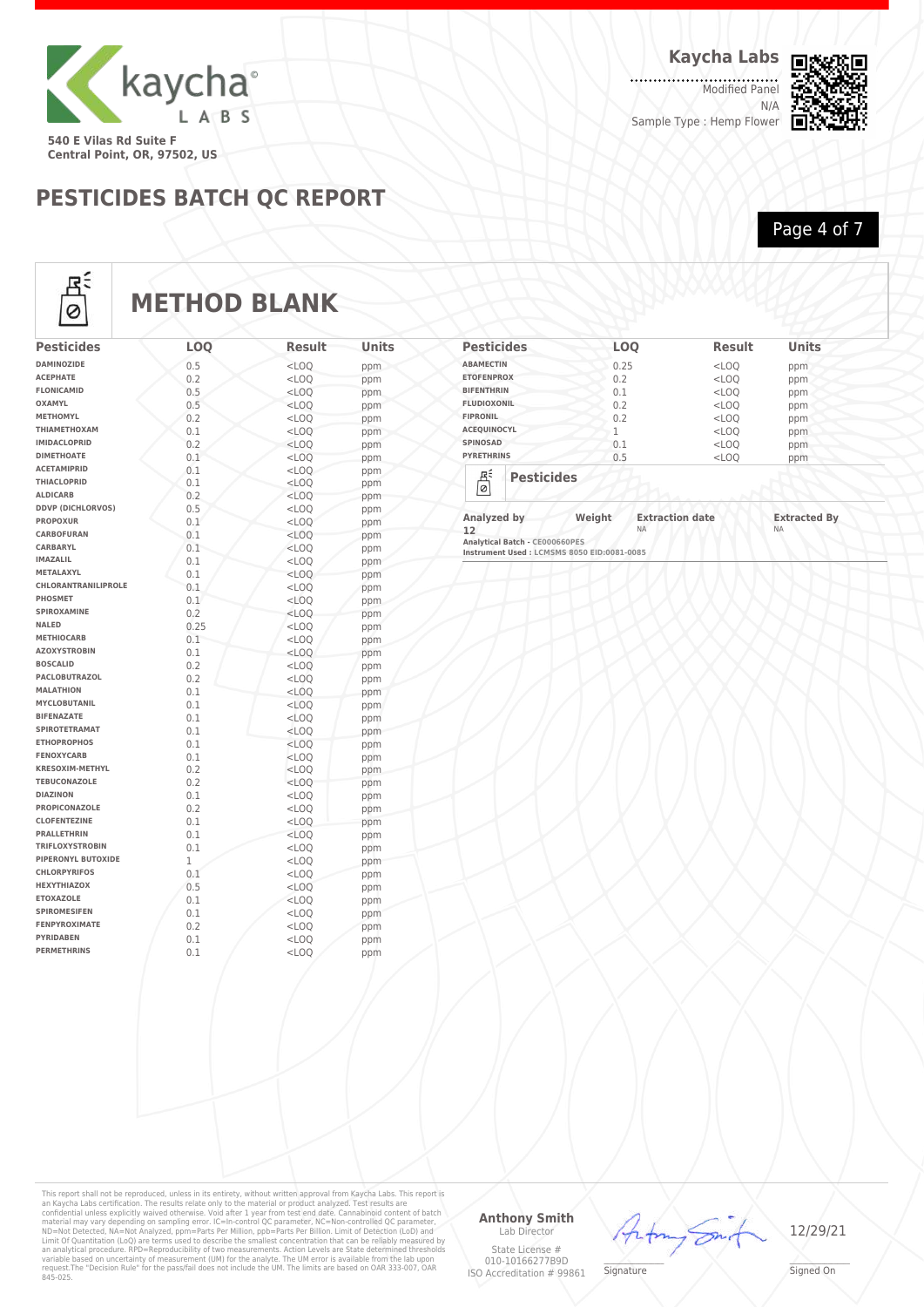

**Kaycha Labs**

. . . . . . . . . . . . . . . . .<br>Modified Panel N/A Sample Type : Hemp Flower



**PESTICIDES BATCH QC REPORT**

Page 4 of 7



## **METHOD BLANK**

| <b>Pesticides</b>                        | <b>LOO</b> | Result             | Units      |
|------------------------------------------|------------|--------------------|------------|
| <b>DAMINOZIDE</b>                        | 0.5        | $<$ LOO            | ppm        |
| <b>ACEPHATE</b>                          | 0.2        | $<$ LOO            | ppm        |
| <b>FLONICAMID</b>                        | 0.5        | $<$ LOQ            | ppm        |
| <b>OXAMYL</b>                            | 0.5        | $<$ LOO            | ppm        |
| <b>METHOMYL</b>                          | 0.2        | $<$ LOQ            | ppm        |
| ΤΗΙΑΜΕΤΗΟΧΑΜ                             | 0.1        | $<$ LOQ            | ppm        |
| <b>IMIDACLOPRID</b>                      | 0.2        | $<$ LOO            | ppm        |
| <b>DIMETHOATE</b>                        | 0.1        | $<$ LOQ            | ppm        |
| <b>ACETAMIPRID</b>                       | 0.1        | $<$ LOO            | ppm        |
| THIACLOPRID                              | 0.1        | $<$ LOQ            | ppm        |
| <b>ALDICARB</b>                          | 0.2        | $<$ LOQ            | ppm        |
| <b>DDVP (DICHLORVOS)</b>                 | 0.5        | $<$ LOO            | ppm        |
| <b>PROPOXUR</b>                          | 0.1        | $<$ LOQ            | ppm        |
| CARBOFURAN                               | 0.1        | $<$ LOO            | ppm        |
| CARBARYL                                 | 0.1        | $<$ LOQ            | ppm        |
| <b>IMAZALIL</b>                          | 0.1        | $<$ LOO            | ppm        |
| METALAXYL                                | 0.1        | $<$ LOQ            | ppm        |
| <b>CHLORANTRANILIPROLE</b>               | 0.1        | $<$ LOQ            | ppm        |
| PHOSMET                                  | 0.1        | $<$ LOO            | ppm        |
| SPIROXAMINE                              | 0.2        | $<$ LOO            | ppm        |
| <b>NALED</b>                             | 0.25       | $<$ LOO            | ppm        |
| <b>METHIOCARB</b>                        | 0.1        | $<$ LOQ            | ppm        |
| <b>AZOXYSTROBIN</b>                      | 0.1        | $<$ LOO            | ppm        |
| <b>BOSCALID</b>                          | 0.2        | $<$ LOQ            | ppm        |
| <b>PACLOBUTRAZOL</b><br><b>MALATHION</b> | 0.2        | $<$ LOO            | ppm        |
| <b>MYCLOBUTANIL</b>                      | 0.1        | $<$ LOO            | ppm        |
| <b>BIFENAZATE</b>                        | 0.1        | $<$ LOQ            | ppm        |
| <b>SPIROTETRAMAT</b>                     | 0.1<br>0.1 | $<$ LOO            | ppm        |
| <b>ETHOPROPHOS</b>                       | 0.1        | $<$ LOQ            | ppm        |
| <b>FENOXYCARB</b>                        | 0.1        | $<$ LOO<br>$<$ LOO | ppm        |
| <b>KRESOXIM-METHYL</b>                   | 0.2        | $<$ LOO            | ppm        |
| <b>TEBUCONAZOLE</b>                      | 0.2        | $<$ LOO            | ppm        |
| <b>DIAZINON</b>                          | 0.1        | $<$ LOQ            | ppm<br>ppm |
| <b>PROPICONAZOLE</b>                     | 0.2        | $<$ LOO            | ppm        |
| <b>CLOFENTEZINE</b>                      | 0.1        | $<$ LOQ            | ppm        |
| <b>PRALLETHRIN</b>                       | 0.1        | $<$ LOO            | ppm        |
| <b>TRIFLOXYSTROBIN</b>                   | 0.1        | $<$ LOO            | ppm        |
| PIPERONYL BUTOXIDE                       | 1          | $<$ LOQ            | ppm        |
| <b>CHLORPYRIFOS</b>                      | 0.1        | $<$ LOO            | ppm        |
| <b>HEXYTHIAZOX</b>                       | 0.5        | $<$ LOO            | ppm        |
| <b>ETOXAZOLE</b>                         | 0.1        | $<$ LOQ            | ppm        |
| <b>SPIROMESIFEN</b>                      | 0.1        | $<$ LOO            | ppm        |
| <b>FENPYROXIMATE</b>                     | 0.2        | $<$ LOQ            | ppm        |
| <b>PYRIDABEN</b>                         | 0.1        | $<$ LOO            | ppm        |
| <b>PERMETHRINS</b>                       | 0.1        | $<$ LOQ            | ppm        |
|                                          |            |                    |            |

| <b>Pesticides</b>  |                   | <b>LOO</b> | <b>Result</b> | <b>Units</b> |
|--------------------|-------------------|------------|---------------|--------------|
| <b>ABAMECTIN</b>   |                   | 0.25       | $<$ LOQ       | ppm          |
| <b>ETOFENPROX</b>  |                   | 0.2        | $<$ LOQ       | ppm          |
| <b>BIFENTHRIN</b>  |                   | 0.1        | $<$ LOQ       | ppm          |
| <b>FLUDIOXONIL</b> |                   | 0.2        | $<$ LOQ       | ppm          |
| <b>FIPRONIL</b>    |                   | 0.2        | $<$ LOO       | ppm          |
| <b>ACEQUINOCYL</b> |                   |            | $<$ LOQ       | ppm          |
| <b>SPINOSAD</b>    |                   | 0.1        | $<$ LOQ       | ppm          |
| <b>PYRETHRINS</b>  |                   | 0.5        | $<$ LOQ       | ppm          |
| 쟉<br>$\circ$       | <b>Pesticides</b> |            |               |              |

**12** NA NA **Analytical Batch - CE000660PES Instrument Used : LCMSMS 8050 EID:0081-0085**

This report shall not be reproduced, unless in its entirety, without written approval from Kaycha Labs. This report is<br>an Kaycha Labs certification. The results relate only to the material or product analyzed. Test result

#### **Anthony Smith** Lab Director

#### State License # 010-10166277B9D ISO Accreditation # 99861



Arfon

\_\_\_\_\_\_\_\_\_\_\_\_\_\_\_\_\_\_\_ Signed On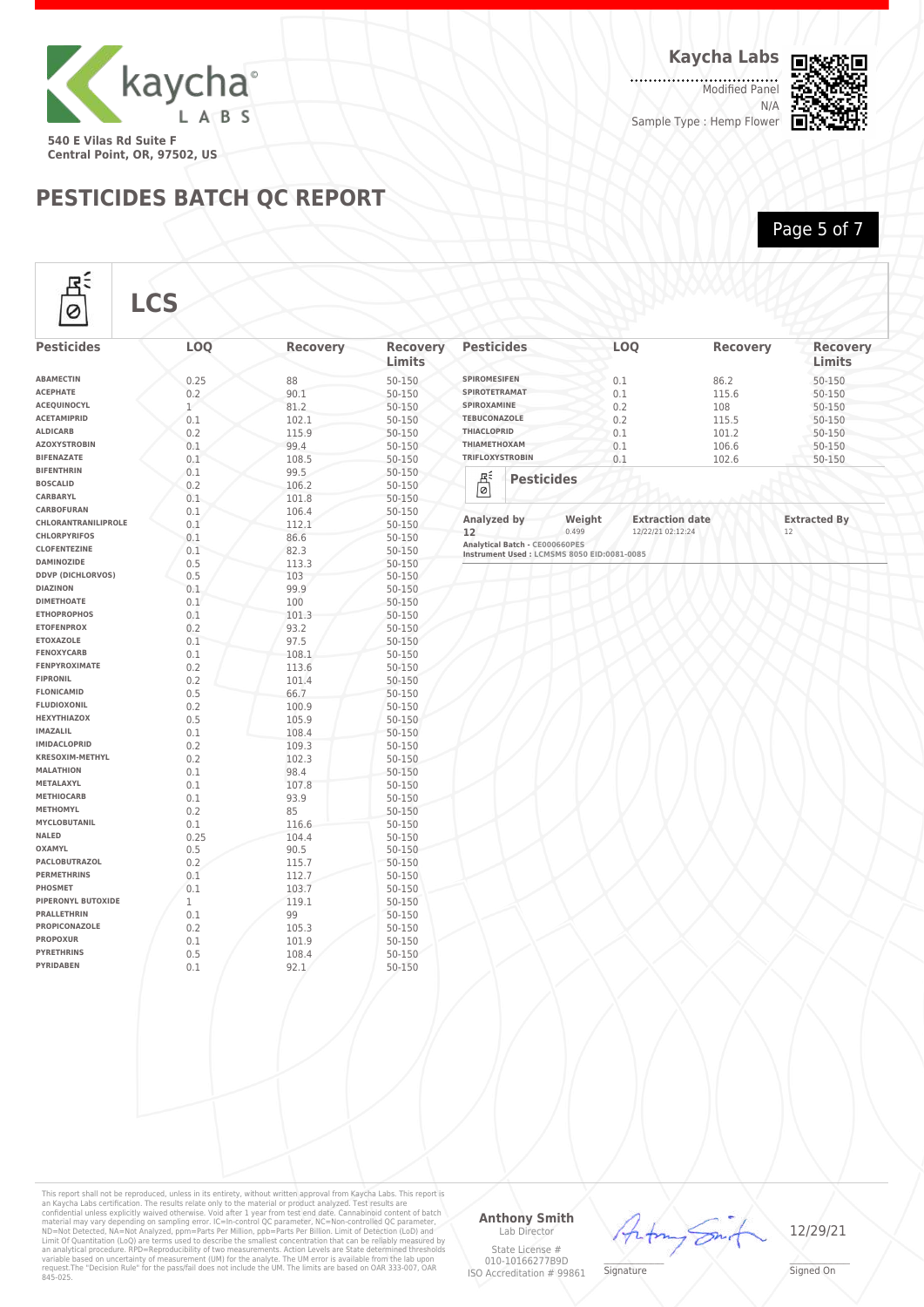

**Central Point, OR, 97502, US**

Rź

### **PESTICIDES BATCH QC REPORT**

. . . . . . . . . . . . . . . . .<br>Modified Panel N/A Sample Type : Hemp Flower



Page 5 of 7

**Limits**

**Pesticides LOQ Recovery Recovery**

| <b>Pesticides</b>                       | <b>LOQ</b>   | <b>Recovery</b> | <b>Recovery</b><br>Limits | <b>Pesticides</b>                            | <b>LOO</b>                       | <b>Recovery</b> | <b>Recov</b><br>Limits |
|-----------------------------------------|--------------|-----------------|---------------------------|----------------------------------------------|----------------------------------|-----------------|------------------------|
| <b>ABAMECTIN</b>                        | 0.25         | 88              | 50-150                    | <b>SPIROMESIFEN</b>                          | 0.1                              | 86.2            | 50-150                 |
| <b>ACEPHATE</b>                         | 0.2          | 90.1            | 50-150                    | <b>SPIROTETRAMAT</b>                         | 0.1                              | 115.6           | 50-150                 |
| ACEQUINOCYL                             | $\mathbf{1}$ | 81.2            | 50-150                    | SPIROXAMINE                                  | 0.2                              | 108             | 50-150                 |
| <b>ACETAMIPRID</b>                      | 0.1          | 102.1           | 50-150                    | <b>TEBUCONAZOLE</b>                          | 0.2                              | 115.5           | 50-150                 |
| <b>ALDICARB</b>                         | 0.2          | 115.9           | 50-150                    | THIACLOPRID                                  | 0.1                              | 101.2           | 50-150                 |
| <b>AZOXYSTROBIN</b>                     | 0.1          | 99.4            | 50-150                    | ΤΗΙΑΜΕΤΗΟΧΑΜ                                 | 0.1                              | 106.6           | 50-150                 |
| <b>BIFENAZATE</b>                       | 0.1          | 108.5           | 50-150                    | <b>TRIFLOXYSTROBIN</b>                       | 0.1                              | 102.6           | 50-150                 |
| <b>BIFENTHRIN</b>                       | 0.1          | 99.5            | 50-150                    |                                              |                                  |                 |                        |
| <b>BOSCALID</b>                         | 0.2          | 106.2           | 50-150                    | $\overline{\mathbb{B}}$<br><b>Pesticides</b> |                                  |                 |                        |
| CARBARYL                                | 0.1          | 101.8           | 50-150                    |                                              |                                  |                 |                        |
| CARBOFURAN                              | 0.1          | 106.4           | 50-150                    |                                              |                                  |                 |                        |
| CHLORANTRANILIPROLE                     | 0.1          | 112.1           | 50-150                    | Analyzed by                                  | <b>Extraction date</b><br>Weight |                 | <b>Extracted By</b>    |
| <b>CHLORPYRIFOS</b>                     | 0.1          | 86.6            | 50-150                    | 0.499<br>12                                  | 12/22/21 02:12:24                |                 | 12                     |
| <b>CLOFENTEZINE</b>                     | 0.1          | 82.3            | 50-150                    | Analytical Batch - CE000660PES               |                                  |                 |                        |
| <b>DAMINOZIDE</b>                       | 0.5          | 113.3           | 50-150                    | Instrument Used : LCMSMS 8050 EID:0081-0085  |                                  |                 |                        |
| <b>DDVP (DICHLORVOS)</b>                | 0.5          | 103             | 50-150                    |                                              |                                  |                 |                        |
| <b>DIAZINON</b>                         | 0.1          | 99.9            |                           |                                              |                                  |                 |                        |
| <b>DIMETHOATE</b>                       | 0.1          | 100             | 50-150<br>50-150          |                                              |                                  |                 |                        |
| <b>ETHOPROPHOS</b>                      | 0.1          |                 |                           |                                              |                                  |                 |                        |
| <b>ETOFENPROX</b>                       | 0.2          | 101.3           | 50-150                    |                                              |                                  |                 |                        |
| <b>ETOXAZOLE</b>                        |              | 93.2            | 50-150                    |                                              |                                  |                 |                        |
| <b>FENOXYCARB</b>                       | 0.1          | 97.5            | 50-150                    |                                              |                                  |                 |                        |
| <b>FENPYROXIMATE</b>                    | 0.1          | 108.1           | 50-150                    |                                              |                                  |                 |                        |
| <b>FIPRONIL</b>                         | 0.2          | 113.6           | 50-150                    |                                              |                                  |                 |                        |
|                                         | 0.2          | 101.4           | 50-150                    |                                              |                                  |                 |                        |
| <b>FLONICAMID</b><br><b>FLUDIOXONIL</b> | 0.5          | 66.7            | 50-150                    |                                              |                                  |                 |                        |
|                                         | 0.2          | 100.9           | 50-150                    |                                              |                                  |                 |                        |
| <b>HEXYTHIAZOX</b>                      | 0.5          | 105.9           | 50-150                    |                                              |                                  |                 |                        |
| <b>IMAZALIL</b>                         | 0.1          | 108.4           | 50-150                    |                                              |                                  |                 |                        |
| <b>IMIDACLOPRID</b>                     | 0.2          | 109.3           | 50-150                    |                                              |                                  |                 |                        |
| <b>KRESOXIM-METHYL</b>                  | 0.2          | 102.3           | 50-150                    |                                              |                                  |                 |                        |
| <b>MALATHION</b>                        | 0.1          | 98.4            | 50-150                    |                                              |                                  |                 |                        |
| METALAXYL                               | 0.1          | 107.8           | 50-150                    |                                              |                                  |                 |                        |
| <b>METHIOCARB</b>                       | 0.1          | 93.9            | 50-150                    |                                              |                                  |                 |                        |
| <b>METHOMYL</b>                         | 0.2          | 85              | 50-150                    |                                              |                                  |                 |                        |
| <b>MYCLOBUTANIL</b>                     | 0.1          | 116.6           | 50-150                    |                                              |                                  |                 |                        |
| <b>NALED</b>                            | 0.25         | 104.4           | 50-150                    |                                              |                                  |                 |                        |
| <b>OXAMYL</b>                           | 0.5          | 90.5            | 50-150                    |                                              |                                  |                 |                        |
| PACLOBUTRAZOL                           | 0.2          | 115.7           | 50-150                    |                                              |                                  |                 |                        |
| <b>PERMETHRINS</b>                      | 0.1          | 112.7           | 50-150                    |                                              |                                  |                 |                        |
| PHOSMET                                 | 0.1          | 103.7           | 50-150                    |                                              |                                  |                 |                        |
| PIPERONYL BUTOXIDE                      | $\mathbf 1$  | 119.1           | 50-150                    |                                              |                                  |                 |                        |
| <b>PRALLETHRIN</b>                      | 0.1          | 99              | 50-150                    |                                              |                                  |                 |                        |
| PROPICONAZOLE                           | 0.2          | 105.3           | 50-150                    |                                              |                                  |                 |                        |
| <b>PROPOXUR</b>                         | 0.1          | 101.9           | 50-150                    |                                              |                                  |                 |                        |
| <b>PYRETHRINS</b>                       | 0.5          | 108.4           | 50-150                    |                                              |                                  |                 |                        |
| <b>PYRIDABEN</b>                        | 0.1          | 92.1            | 50-150                    |                                              |                                  |                 |                        |

This report shall not be reproduced, unless in its entirety, without written approval from Kaycha Labs. This report is<br>an Kaycha Labs certification. The results relate only to the material or product analyzed. Test result

#### **Anthony Smith** Lab Director

State License # 010-10166277B9D ISO Accreditation # 99861  $\mathscr{L}\setminus\mathscr{L}$ **Signature** 

Artin

r Sm



\_\_\_\_\_\_\_\_\_\_\_\_\_\_\_\_\_\_\_ Signed On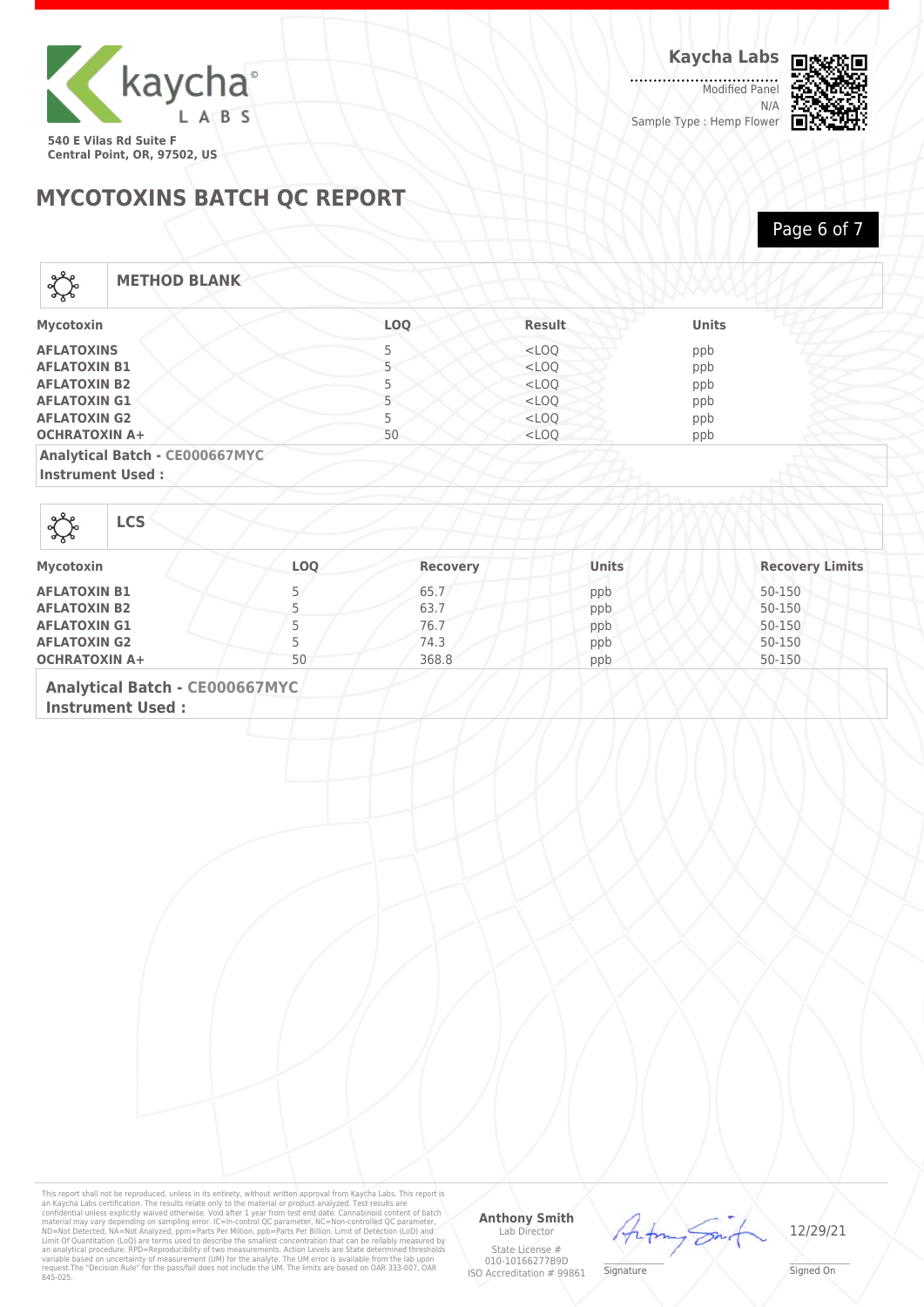

.......... Modified Panel N/A Sample Type : Hemp Flower



**MYCOTOXINS BATCH QC REPORT**

Page 6 of 7

## Local

**METHOD BLANK**

| Mycotoxin                      | <b>LOO</b> | <b>Result</b> | <b>Units</b> |  |
|--------------------------------|------------|---------------|--------------|--|
| <b>AFLATOXINS</b>              |            | $<$ LOO       | ppb          |  |
| <b>AFLATOXIN B1</b>            |            | $<$ LOO       | ppb          |  |
| <b>AFLATOXIN B2</b>            |            | $<$ LOO       | ppb          |  |
| <b>AFLATOXIN G1</b>            |            | $<$ LOQ       | ppb          |  |
| <b>AFLATOXIN G2</b>            |            | $<$ LOQ       | ppb          |  |
| <b>OCHRATOXIN A+</b>           | 50         | $<$ LOO       | ppb          |  |
| Analytical Batch - CE000667MYC |            |               |              |  |

**Instrument Used :**

**LCS**

| Mycotoxin            | <b>LOO</b> | <b>Recovery</b> | <b>Units</b> | <b>Recovery Limits</b> |
|----------------------|------------|-----------------|--------------|------------------------|
| <b>AFLATOXIN B1</b>  |            | 65.7            | ppb          | 50-150                 |
| <b>AFLATOXIN B2</b>  |            | 63.7            | ppb          | 50-150                 |
| <b>AFLATOXIN G1</b>  |            | 76.7            | ppb          | 50-150                 |
| <b>AFLATOXIN G2</b>  |            | 74.3            | ppb          | 50-150                 |
| <b>OCHRATOXIN A+</b> | 50         | 368.8           | ppb          | 50-150                 |

**Analytical Batch - CE000667MYC**

**Instrument Used :**

This report shall not be reproduced, unless in its entirety, without written approval from Kaycha Labs. This report is<br>an Kaycha Labs certification. The results relate only to the material or product analyzed. Test result

#### **Anthony Smith** Lab Director

State License # 010-10166277B9D ISO Accreditation # 99861



 $\mathscr{L}\setminus\mathscr{L}$ **Signature**